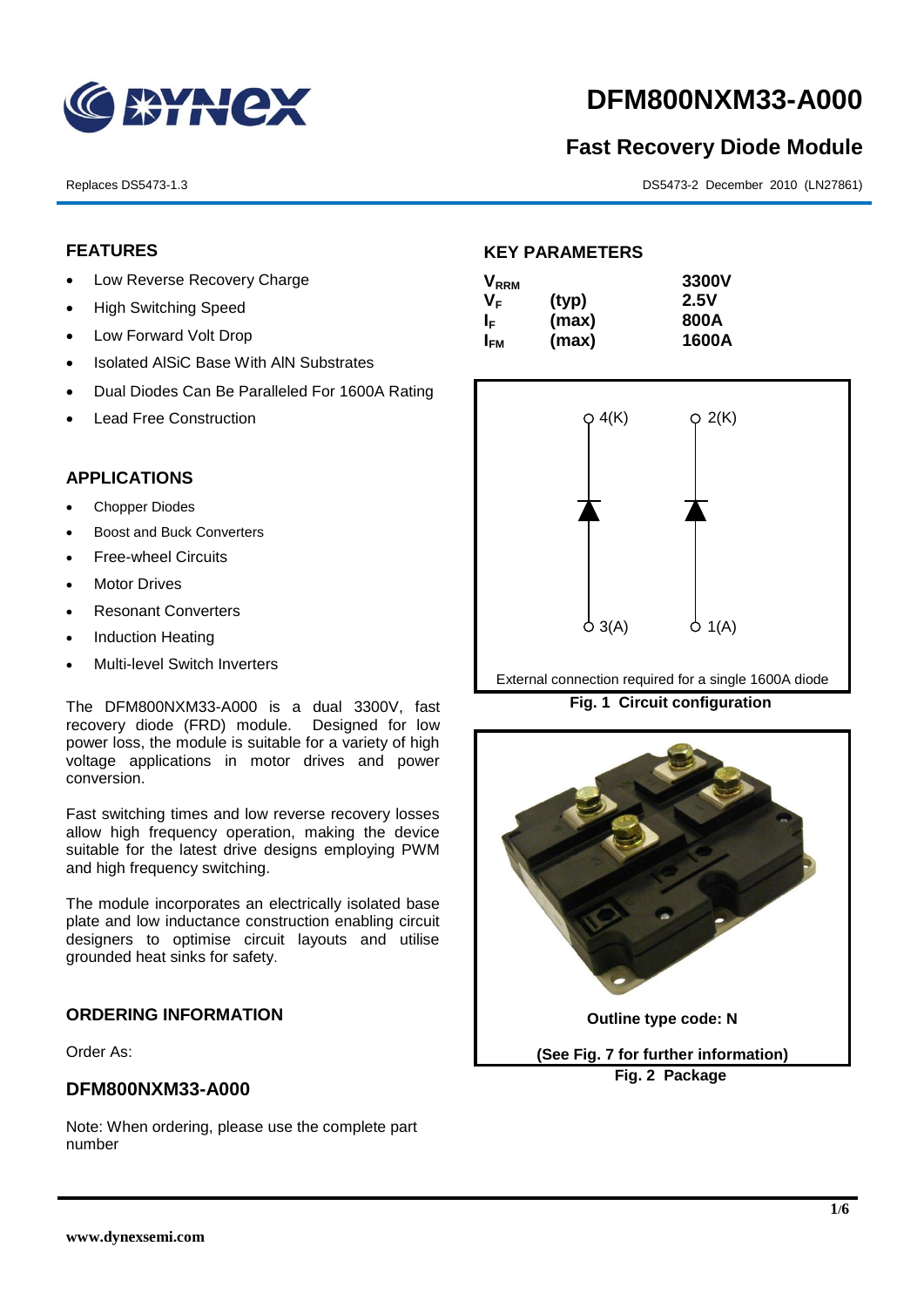

# **DFM800NXM33-A000**

# **Fast Recovery Diode Module**

Replaces DS5473-1.3 DS5473-2 December 2010 (LN27861)

# **FEATURES**

- Low Reverse Recovery Charge
- High Switching Speed
- Low Forward Volt Drop
- Isolated AISiC Base With AIN Substrates
- Dual Diodes Can Be Paralleled For 1600A Rating
- Lead Free Construction

# **APPLICATIONS**

- Chopper Diodes
- Boost and Buck Converters
- Free-wheel Circuits
- Motor Drives
- Resonant Converters
- Induction Heating
- Multi-level Switch Inverters

The DFM800NXM33-A000 is a dual 3300V, fast recovery diode (FRD) module. Designed for low power loss, the module is suitable for a variety of high voltage applications in motor drives and power conversion.

Fast switching times and low reverse recovery losses allow high frequency operation, making the device suitable for the latest drive designs employing PWM and high frequency switching.

The module incorporates an electrically isolated base plate and low inductance construction enabling circuit designers to optimise circuit layouts and utilise grounded heat sinks for safety.

# **ORDERING INFORMATION**

Order As:

# **DFM800NXM33-A000**

Note: When ordering, please use the complete part number

# **KEY PARAMETERS**

| $\mathsf{V}_{\mathsf{RRM}}$ |       | 3300V |
|-----------------------------|-------|-------|
| Vг                          | (typ) | 2.5V  |
| ΙF                          | (max) | 800A  |
| I <sub>FМ</sub>             | (max) | 1600A |



External connection required for a single 1600A diode

**Fig. 1 Circuit configuration**



**Fig. 2 Package**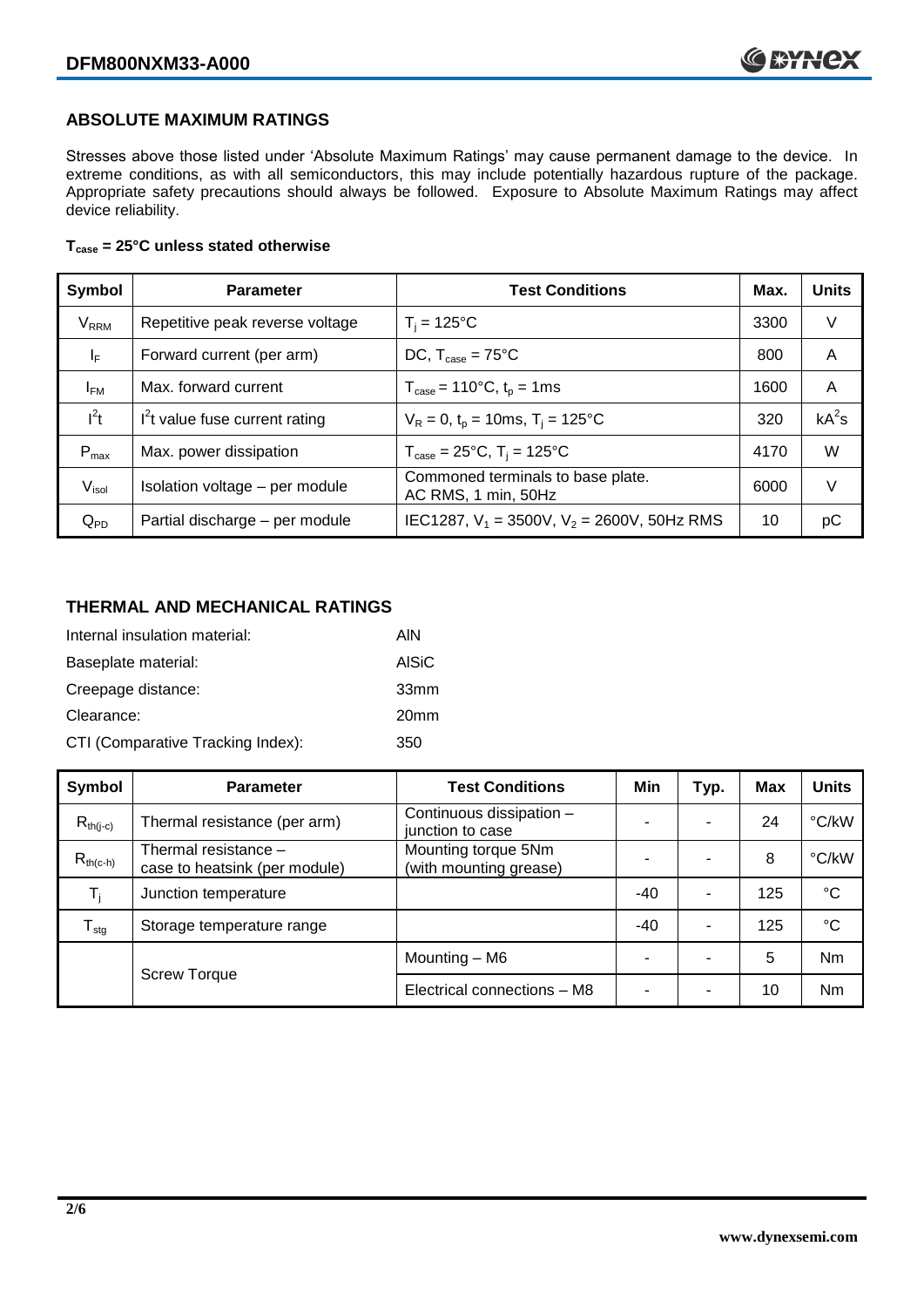# **ABSOLUTE MAXIMUM RATINGS**

Stresses above those listed under 'Absolute Maximum Ratings' may cause permanent damage to the device. In extreme conditions, as with all semiconductors, this may include potentially hazardous rupture of the package. Appropriate safety precautions should always be followed. Exposure to Absolute Maximum Ratings may affect device reliability.

#### **Tcase = 25°C unless stated otherwise**

| Symbol                  | <b>Parameter</b>                | <b>Test Conditions</b>                                                     | Max. | <b>Units</b> |
|-------------------------|---------------------------------|----------------------------------------------------------------------------|------|--------------|
| <b>V</b> <sub>RRM</sub> | Repetitive peak reverse voltage | $T_i = 125$ °C                                                             | 3300 | V            |
| $\mathsf{I}_\mathsf{F}$ | Forward current (per arm)       | DC, $T_{\text{case}} = 75^{\circ}$ C                                       | 800  | A            |
| $I_{FM}$                | Max. forward current            | $T_{\text{case}} = 110^{\circ}C, t_{p} = 1ms$                              | 1600 | A            |
| $I^2t$                  | $I2t$ value fuse current rating | $V_R = 0$ , $t_p = 10$ ms, $T_i = 125$ °C                                  | 320  | $kA^2s$      |
| $P_{max}$               | Max. power dissipation          | $T_{\text{case}} = 25^{\circ}\text{C}, T_{\text{i}} = 125^{\circ}\text{C}$ | 4170 | W            |
| V <sub>isol</sub>       | Isolation voltage - per module  | Commoned terminals to base plate.<br>AC RMS, 1 min, 50Hz                   | 6000 | V            |
| $Q_{PD}$                | Partial discharge - per module  | IEC1287, $V_1$ = 3500V, $V_2$ = 2600V, 50Hz RMS                            | 10   | рC           |

# **THERMAL AND MECHANICAL RATINGS**

| Internal insulation material:     | AIN              |
|-----------------------------------|------------------|
| Baseplate material:               | <b>AISiC</b>     |
| Creepage distance:                | 33 <sub>mm</sub> |
| Clearance:                        | 20 <sub>mm</sub> |
| CTI (Comparative Tracking Index): | 350              |

| Symbol           | <b>Parameter</b>                                      | <b>Test Conditions</b>                        | Min   | Typ. | <b>Max</b> | <b>Units</b> |
|------------------|-------------------------------------------------------|-----------------------------------------------|-------|------|------------|--------------|
| $R_{th(j-c)}$    | Thermal resistance (per arm)                          | Continuous dissipation -<br>junction to case  | -     | -    | 24         | °C/kW        |
| $R_{th(c-h)}$    | Thermal resistance -<br>case to heatsink (per module) | Mounting torque 5Nm<br>(with mounting grease) |       |      | 8          | °C/kW        |
| $T_i$            | Junction temperature                                  |                                               | $-40$ |      | 125        | $^{\circ}C$  |
| $T_{\text{stg}}$ | Storage temperature range                             |                                               | $-40$ | ۰    | 125        | °C           |
|                  | <b>Screw Torque</b>                                   | Mounting – M6                                 | -     |      | 5          | Nm           |
|                  |                                                       | Electrical connections - M8                   | -     | -    | 10         | Nm           |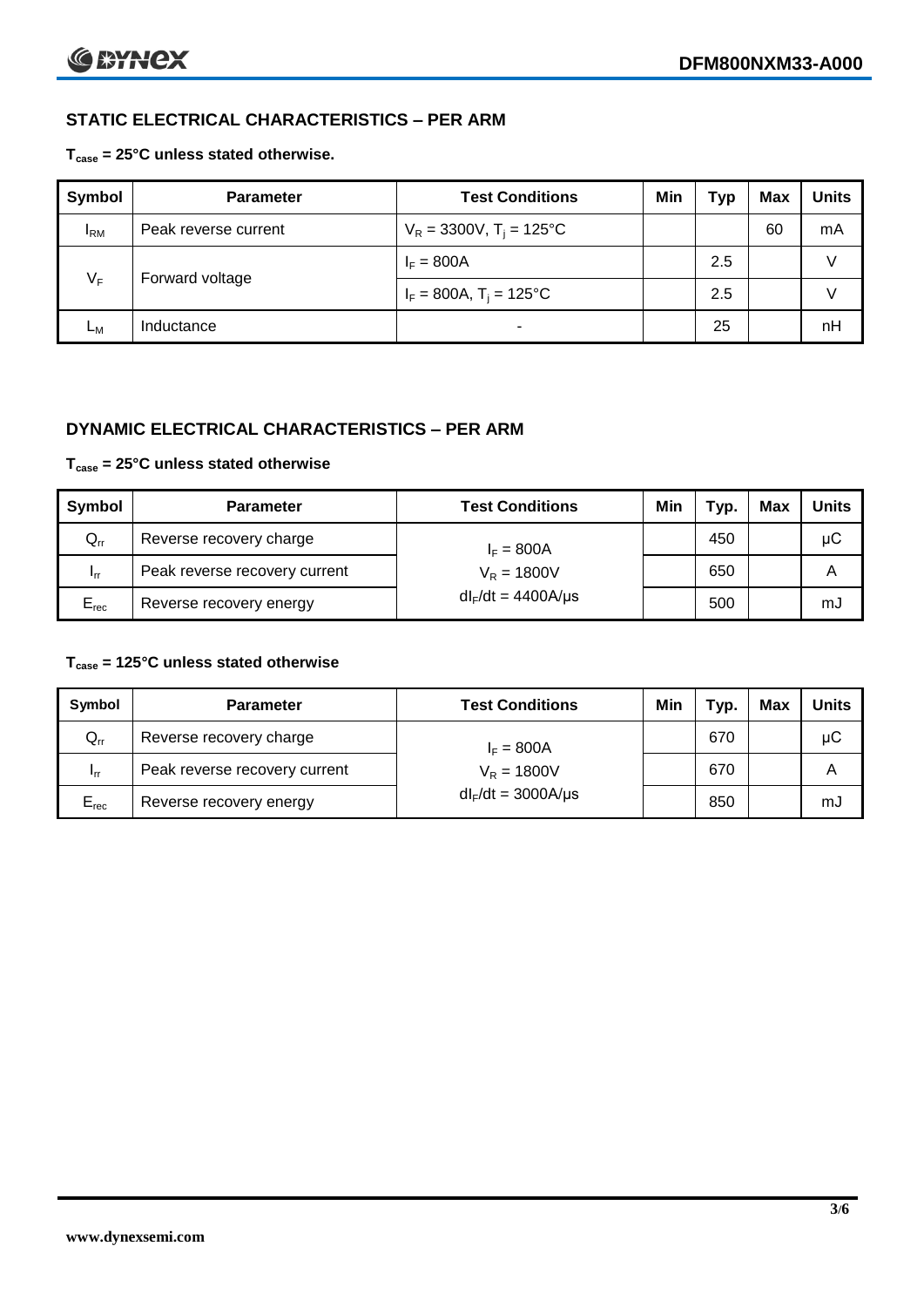# **STATIC ELECTRICAL CHARACTERISTICS – PER ARM**

#### **Tcase = 25°C unless stated otherwise.**

| Symbol     | <b>Parameter</b>     | <b>Test Conditions</b>                 | Min | Typ | <b>Max</b> | <b>Units</b> |
|------------|----------------------|----------------------------------------|-----|-----|------------|--------------|
| <b>IRM</b> | Peak reverse current | $V_R = 3300V$ , T <sub>i</sub> = 125°C |     |     | 60         | mA           |
| $V_F$      | Forward voltage      | $I_F = 800A$                           |     | 2.5 |            | v            |
|            |                      | $I_F = 800A$ , $T_i = 125^{\circ}C$    |     | 2.5 |            | v            |
| Lм         | Inductance           | $\blacksquare$                         |     | 25  |            | nH           |

# **DYNAMIC ELECTRICAL CHARACTERISTICS – PER ARM**

#### **Tcase = 25°C unless stated otherwise**

| Symbol          | <b>Parameter</b>                        | <b>Test Conditions</b>  | Min | Typ. | Max | Units |
|-----------------|-----------------------------------------|-------------------------|-----|------|-----|-------|
| $Q_{rr}$        | Reverse recovery charge<br>$I_F = 800A$ |                         |     | 450  |     | μC    |
| 1 <sub>rr</sub> | Peak reverse recovery current           | $V_R = 1800V$           |     | 650  |     | A     |
| $E_{rec}$       | Reverse recovery energy                 | $dl_F/dt = 4400A/\mu s$ |     | 500  |     | mJ    |

#### **Tcase = 125°C unless stated otherwise**

| Symbol                     | <b>Parameter</b>              | <b>Test Conditions</b>  | Min | тур. | Max | <b>Units</b> |
|----------------------------|-------------------------------|-------------------------|-----|------|-----|--------------|
| $\mathsf{Q}_{\mathsf{rr}}$ | Reverse recovery charge       | $I_F = 800A$            |     | 670  |     | μC           |
| 1 <sub>rr</sub>            | Peak reverse recovery current | $V_R = 1800V$           |     | 670  |     | Α            |
| $E_{rec}$                  | Reverse recovery energy       | $dl_F/dt = 3000A/\mu s$ |     | 850  |     | mJ           |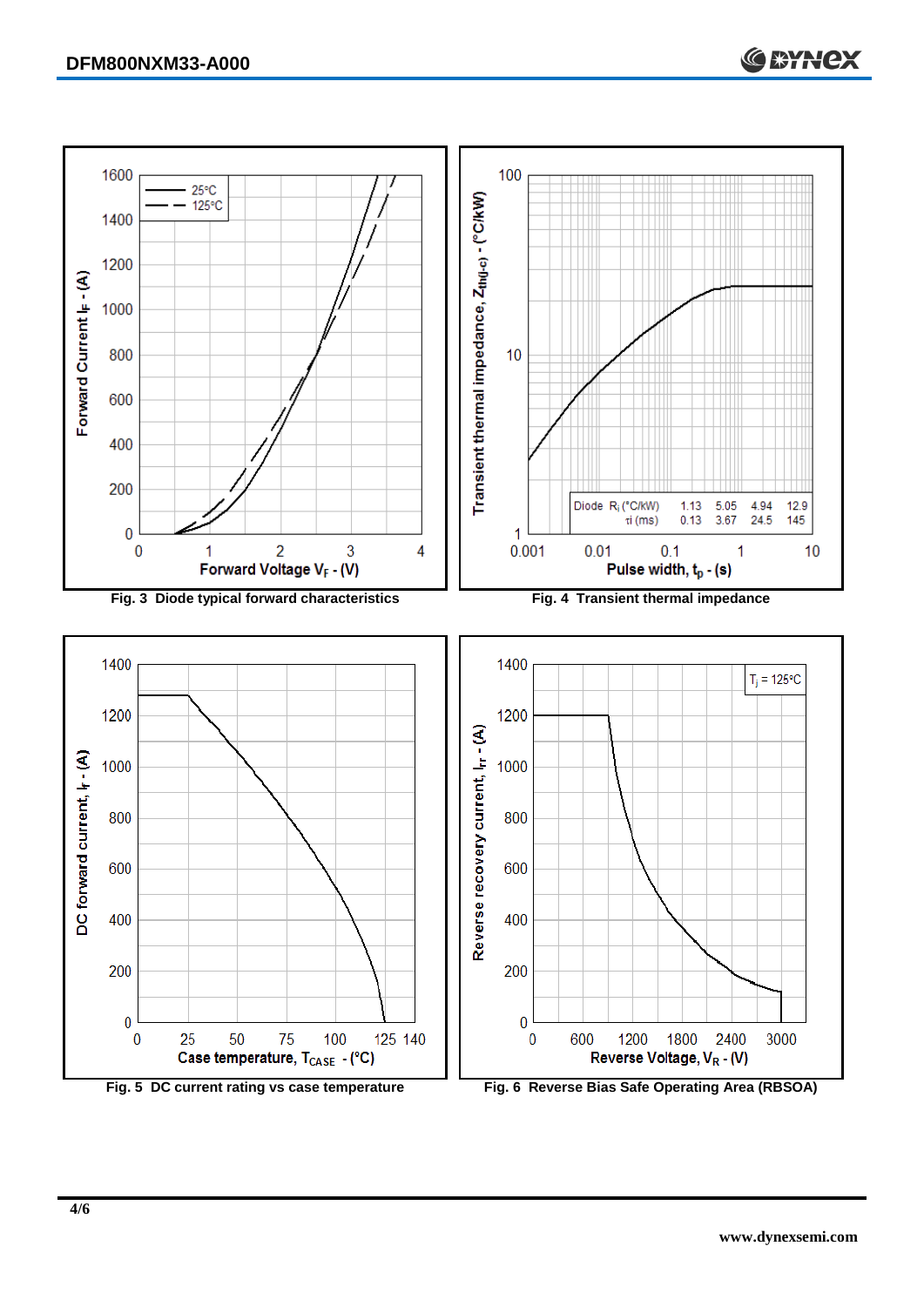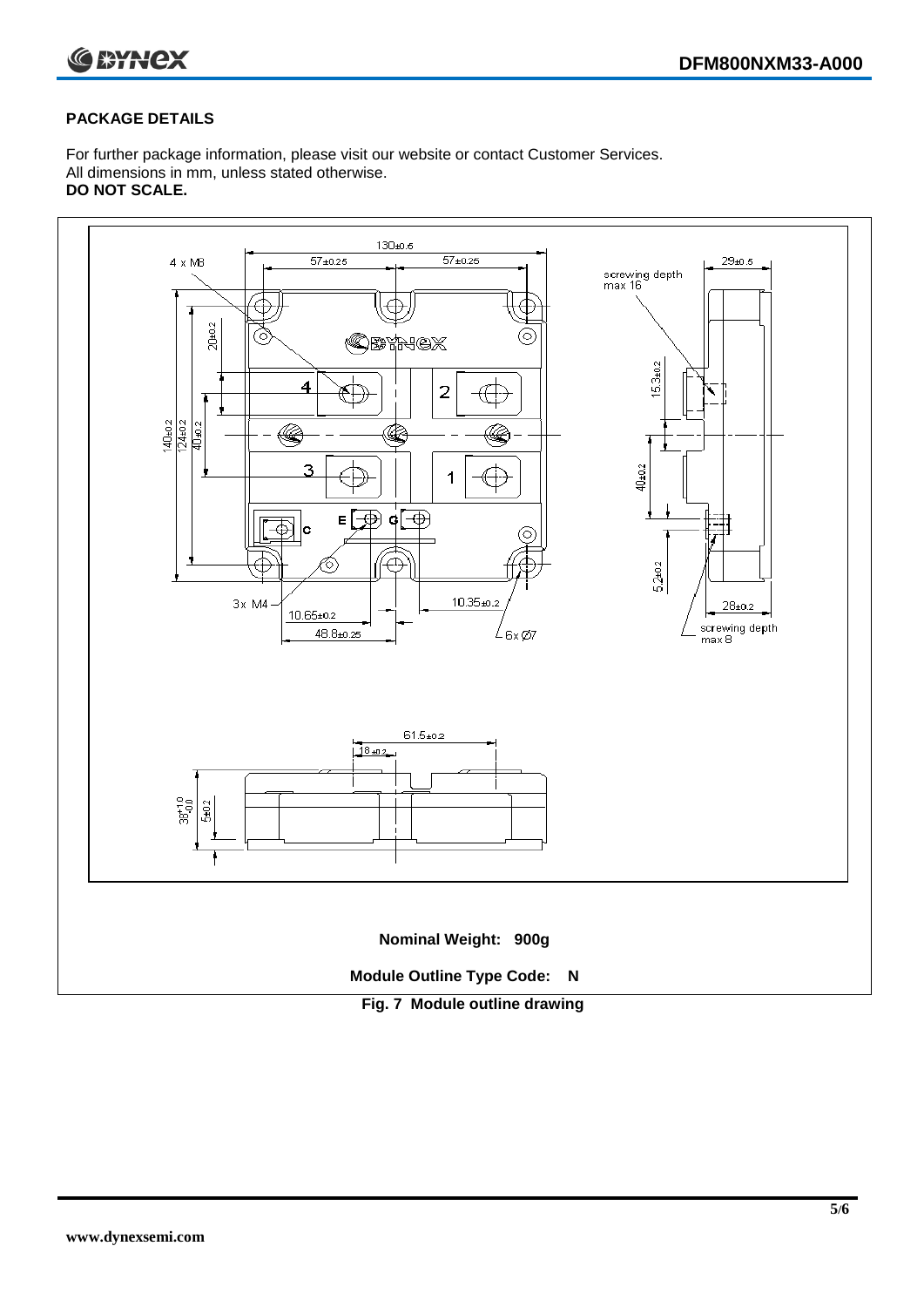

### **PACKAGE DETAILS**

For further package information, please visit our website or contact Customer Services. All dimensions in mm, unless stated otherwise. **DO NOT SCALE.**